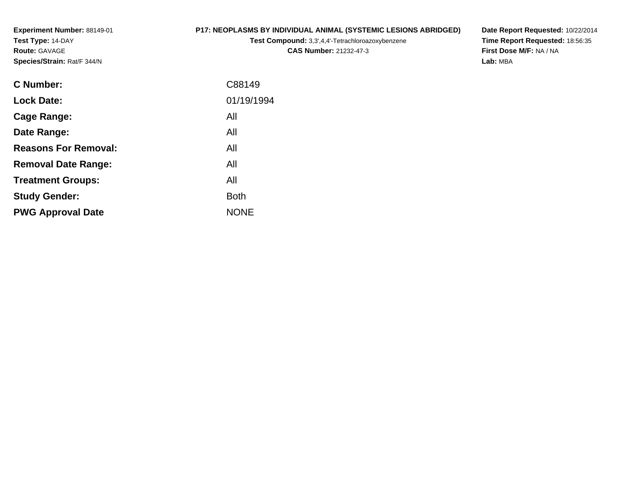**Experiment Number:** 88149-01**Test Type:** 14-DAY**Route:** GAVAGE**Species/Strain:** Rat/F 344/N

# **P17: NEOPLASMS BY INDIVIDUAL ANIMAL (SYSTEMIC LESIONS ABRIDGED)**

**Test Compound:** 3,3',4,4'-Tetrachloroazoxybenzene

**CAS Number:** 21232-47-3

**Date Report Requested:** 10/22/2014 **Time Report Requested:** 18:56:35**First Dose M/F:** NA / NA**Lab:** MBA

| C Number:                   | C88149      |
|-----------------------------|-------------|
| <b>Lock Date:</b>           | 01/19/1994  |
| Cage Range:                 | All         |
| Date Range:                 | All         |
| <b>Reasons For Removal:</b> | All         |
| <b>Removal Date Range:</b>  | All         |
| <b>Treatment Groups:</b>    | All         |
| <b>Study Gender:</b>        | <b>Both</b> |
| <b>PWG Approval Date</b>    | <b>NONE</b> |
|                             |             |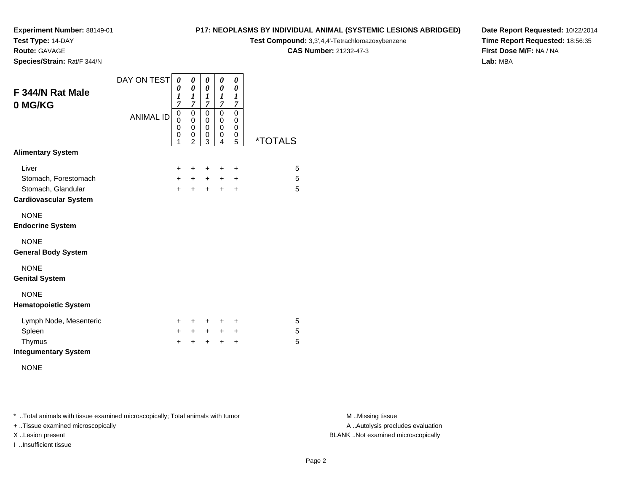**Test Type:** 14-DAY

**Route:** GAVAGE

**Species/Strain:** Rat/F 344/N

#### **P17: NEOPLASMS BY INDIVIDUAL ANIMAL (SYSTEMIC LESIONS ABRIDGED)**

**Test Compound:** 3,3',4,4'-Tetrachloroazoxybenzene

**CAS Number:** 21232-47-3

**Date Report Requested:** 10/22/2014**Time Report Requested:** 18:56:35**First Dose M/F:** NA / NA**Lab:** MBA

| F 344/N Rat Male<br>0 MG/KG                        | DAY ON TEST<br><b>ANIMAL ID</b> | 0<br>0<br>1<br>7<br>0<br>$\overline{0}$ | 0<br>0<br>1<br>7<br>$\mathbf 0$<br>$\mathbf 0$ | 0<br>0<br>1<br>$\overline{7}$<br>0<br>$\mathbf 0$ | 0<br>$\pmb{\theta}$<br>$\boldsymbol{l}$<br>$\overline{7}$<br>0<br>0 | 0<br>0<br>$\boldsymbol{l}$<br>7<br>$\mathbf 0$<br>$\mathbf 0$ |                       |
|----------------------------------------------------|---------------------------------|-----------------------------------------|------------------------------------------------|---------------------------------------------------|---------------------------------------------------------------------|---------------------------------------------------------------|-----------------------|
|                                                    |                                 | 0<br>0<br>1                             | 0<br>0<br>$\overline{2}$                       | 0<br>0<br>3                                       | 0<br>0<br>4                                                         | 0<br>0<br>5                                                   | <i><b>*TOTALS</b></i> |
| <b>Alimentary System</b>                           |                                 |                                         |                                                |                                                   |                                                                     |                                                               |                       |
| Liver                                              |                                 | +                                       | ÷                                              | ÷                                                 | $\ddot{}$                                                           | $\ddot{}$                                                     | 5                     |
| Stomach, Forestomach                               |                                 | $+$                                     | $+$                                            | $+$                                               | $\pm$                                                               | ÷                                                             | 5                     |
| Stomach, Glandular<br><b>Cardiovascular System</b> |                                 | $\ddot{}$                               | $\ddot{}$                                      | $+$                                               | $+$                                                                 | $\ddot{}$                                                     | 5                     |
| <b>NONE</b><br><b>Endocrine System</b>             |                                 |                                         |                                                |                                                   |                                                                     |                                                               |                       |
| <b>NONE</b><br><b>General Body System</b>          |                                 |                                         |                                                |                                                   |                                                                     |                                                               |                       |
| <b>NONE</b><br><b>Genital System</b>               |                                 |                                         |                                                |                                                   |                                                                     |                                                               |                       |
| <b>NONE</b><br><b>Hematopoietic System</b>         |                                 |                                         |                                                |                                                   |                                                                     |                                                               |                       |
| Lymph Node, Mesenteric                             |                                 | ٠                                       | ÷                                              | +                                                 | ÷                                                                   | ÷                                                             | 5                     |
| Spleen                                             |                                 | $+$                                     | $+$                                            | $+$                                               | $+$                                                                 | $\ddot{}$                                                     | 5                     |
| Thymus                                             |                                 | $\ddot{}$                               | $\ddot{}$                                      | $\ddot{}$                                         | $\ddot{}$                                                           | +                                                             | 5                     |
| <b>Integumentary System</b>                        |                                 |                                         |                                                |                                                   |                                                                     |                                                               |                       |

NONE

\* ..Total animals with tissue examined microscopically; Total animals with tumor **M** . Missing tissue M ..Missing tissue

+ ..Tissue examined microscopically

I ..Insufficient tissue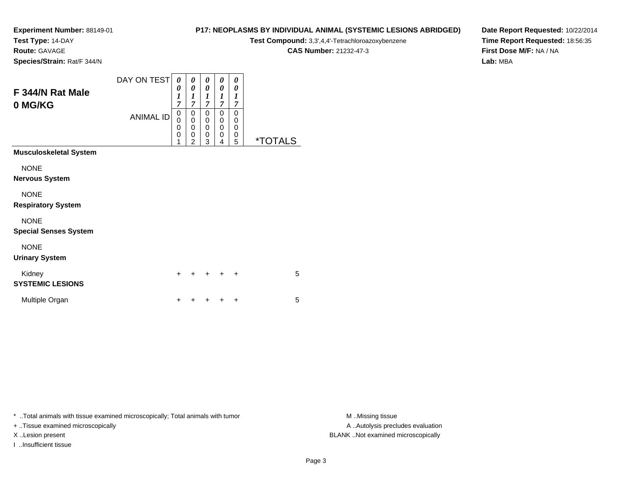**Test Type:** 14-DAY

**Route:** GAVAGE

**P17: NEOPLASMS BY INDIVIDUAL ANIMAL (SYSTEMIC LESIONS ABRIDGED)**

**Test Compound:** 3,3',4,4'-Tetrachloroazoxybenzene

**CAS Number:** 21232-47-3

**Date Report Requested:** 10/22/2014**Time Report Requested:** 18:56:35**First Dose M/F:** NA / NA**Lab:** MBA

**Species/Strain:** Rat/F 344/N

| F 344/N Rat Male<br>0 MG/KG                 | DAY ON TEST<br><b>ANIMAL ID</b> | 0<br>0<br>1<br>7<br>0<br>0<br>0<br>0<br>1 | 0<br>$\boldsymbol{\theta}$<br>$\boldsymbol{l}$<br>$\overline{7}$<br>0<br>$\bar{0}$<br>$\mathbf 0$<br>0<br>$\overline{2}$ | 0<br>$\boldsymbol{\theta}$<br>$\boldsymbol{l}$<br>$\overline{7}$<br>0<br>$\mathbf 0$<br>$\mathbf 0$<br>$\mathbf 0$<br>3 | 0<br>0<br>1<br>$\overline{7}$<br>0<br>0<br>0<br>0<br>4 | 0<br>0<br>1<br>$\overline{7}$<br>0<br>0<br>0<br>0<br>5 | <i><b>*TOTALS</b></i> |
|---------------------------------------------|---------------------------------|-------------------------------------------|--------------------------------------------------------------------------------------------------------------------------|-------------------------------------------------------------------------------------------------------------------------|--------------------------------------------------------|--------------------------------------------------------|-----------------------|
| <b>Musculoskeletal System</b>               |                                 |                                           |                                                                                                                          |                                                                                                                         |                                                        |                                                        |                       |
| <b>NONE</b><br><b>Nervous System</b>        |                                 |                                           |                                                                                                                          |                                                                                                                         |                                                        |                                                        |                       |
| <b>NONE</b><br><b>Respiratory System</b>    |                                 |                                           |                                                                                                                          |                                                                                                                         |                                                        |                                                        |                       |
| <b>NONE</b><br><b>Special Senses System</b> |                                 |                                           |                                                                                                                          |                                                                                                                         |                                                        |                                                        |                       |
| <b>NONE</b><br><b>Urinary System</b>        |                                 |                                           |                                                                                                                          |                                                                                                                         |                                                        |                                                        |                       |
| Kidney<br><b>SYSTEMIC LESIONS</b>           |                                 | $\div$                                    | +                                                                                                                        | +                                                                                                                       | ÷                                                      | ÷                                                      | 5                     |
| Multiple Organ                              |                                 | +                                         |                                                                                                                          |                                                                                                                         |                                                        | +                                                      | 5                     |
|                                             |                                 |                                           |                                                                                                                          |                                                                                                                         |                                                        |                                                        |                       |

\* ..Total animals with tissue examined microscopically; Total animals with tumor **M** . Missing tissue M ..Missing tissue

+ ..Tissue examined microscopically

I ..Insufficient tissue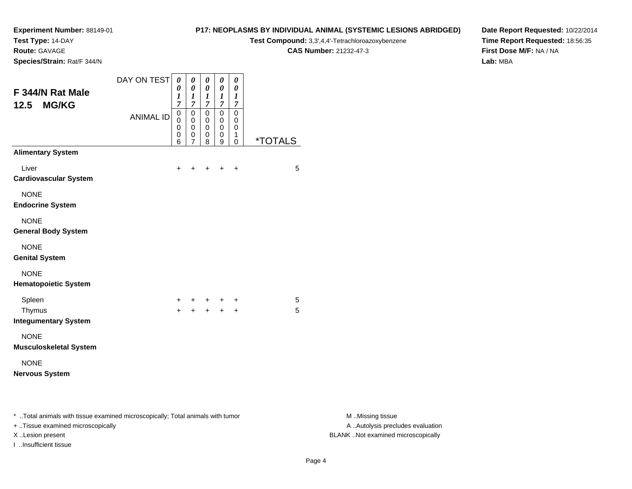**Test Type:** 14-DAY

**Route:** GAVAGE**Species/Strain:** Rat/F 344/N

**P17: NEOPLASMS BY INDIVIDUAL ANIMAL (SYSTEMIC LESIONS ABRIDGED)**

**Test Compound:** 3,3',4,4'-Tetrachloroazoxybenzene

**CAS Number:** 21232-47-3

**Date Report Requested:** 10/22/2014**Time Report Requested:** 18:56:35**First Dose M/F:** NA / NA**Lab:** MBA

| Species/Strain: Rat/F 344/N                                                                                                            |                                 |                                                                                            |                                                                                              |                                                                                |                                                                                                       |                                                                                                 |                       |                                                                                             |
|----------------------------------------------------------------------------------------------------------------------------------------|---------------------------------|--------------------------------------------------------------------------------------------|----------------------------------------------------------------------------------------------|--------------------------------------------------------------------------------|-------------------------------------------------------------------------------------------------------|-------------------------------------------------------------------------------------------------|-----------------------|---------------------------------------------------------------------------------------------|
| F 344/N Rat Male<br>12.5<br><b>MG/KG</b>                                                                                               | DAY ON TEST<br><b>ANIMAL ID</b> | $\pmb{\theta}$<br>$\boldsymbol{\theta}$<br>$\boldsymbol{l}$<br>$\overline{7}$<br>$\pmb{0}$ | $\pmb{\theta}$<br>$\boldsymbol{\theta}$<br>$\boldsymbol{l}$<br>$\boldsymbol{7}$<br>$\pmb{0}$ | $\pmb{\theta}$<br>$\pmb{\theta}$<br>1<br>$\overline{7}$<br>$\mathsf{O}\xspace$ | $\boldsymbol{\theta}$<br>$\boldsymbol{\theta}$<br>$\boldsymbol{l}$<br>$\boldsymbol{7}$<br>$\mathsf 0$ | $\pmb{\theta}$<br>$\pmb{\theta}$<br>$\boldsymbol{l}$<br>$\boldsymbol{7}$<br>$\mathsf{O}\xspace$ |                       |                                                                                             |
|                                                                                                                                        |                                 | 0<br>0<br>0<br>6                                                                           | 0<br>$\mathbf 0$<br>0<br>7                                                                   | 0<br>$\pmb{0}$<br>$\pmb{0}$<br>8                                               | 0<br>$\mathbf 0$<br>$\pmb{0}$<br>9                                                                    | 0<br>$\pmb{0}$<br>1<br>$\pmb{0}$                                                                | <i><b>*TOTALS</b></i> |                                                                                             |
| <b>Alimentary System</b>                                                                                                               |                                 |                                                                                            |                                                                                              |                                                                                |                                                                                                       |                                                                                                 |                       |                                                                                             |
| Liver<br><b>Cardiovascular System</b>                                                                                                  |                                 | +                                                                                          |                                                                                              |                                                                                |                                                                                                       | $\ddot{}$                                                                                       | 5                     |                                                                                             |
| <b>NONE</b><br><b>Endocrine System</b>                                                                                                 |                                 |                                                                                            |                                                                                              |                                                                                |                                                                                                       |                                                                                                 |                       |                                                                                             |
| <b>NONE</b><br><b>General Body System</b>                                                                                              |                                 |                                                                                            |                                                                                              |                                                                                |                                                                                                       |                                                                                                 |                       |                                                                                             |
| <b>NONE</b><br><b>Genital System</b>                                                                                                   |                                 |                                                                                            |                                                                                              |                                                                                |                                                                                                       |                                                                                                 |                       |                                                                                             |
| <b>NONE</b><br><b>Hematopoietic System</b>                                                                                             |                                 |                                                                                            |                                                                                              |                                                                                |                                                                                                       |                                                                                                 |                       |                                                                                             |
| Spleen<br>Thymus<br><b>Integumentary System</b>                                                                                        |                                 | +<br>$\ddot{}$                                                                             |                                                                                              | +<br>$+$                                                                       | $+$                                                                                                   | +<br>$\ddot{}$                                                                                  | 5<br>5                |                                                                                             |
| <b>NONE</b><br><b>Musculoskeletal System</b>                                                                                           |                                 |                                                                                            |                                                                                              |                                                                                |                                                                                                       |                                                                                                 |                       |                                                                                             |
| <b>NONE</b><br><b>Nervous System</b>                                                                                                   |                                 |                                                                                            |                                                                                              |                                                                                |                                                                                                       |                                                                                                 |                       |                                                                                             |
| * Total animals with tissue examined microscopically; Total animals with tumor<br>+ Tissue examined microscopically<br>XLesion present |                                 |                                                                                            |                                                                                              |                                                                                |                                                                                                       |                                                                                                 |                       | M Missing tissue<br>A  Autolysis precludes evaluation<br>BLANK Not examined microscopically |

I ..Insufficient tissue

M ..Missing tissue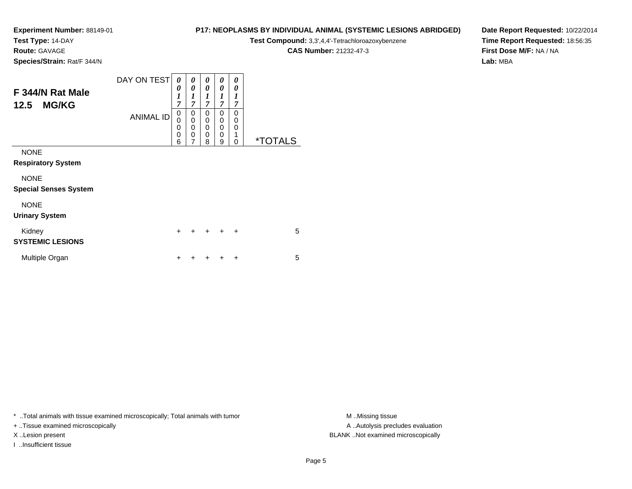**Test Type:** 14-DAY

**Route:** GAVAGE

**P17: NEOPLASMS BY INDIVIDUAL ANIMAL (SYSTEMIC LESIONS ABRIDGED)**

**Test Compound:** 3,3',4,4'-Tetrachloroazoxybenzene

**CAS Number:** 21232-47-3

**Date Report Requested:** 10/22/2014**Time Report Requested:** 18:56:35**First Dose M/F:** NA / NA**Lab:** MBA

**Species/Strain:** Rat/F 344/N

| F 344/N Rat Male<br><b>MG/KG</b><br>12.5 | DAY ON TEST<br><b>ANIMAL ID</b> | 0<br>0<br>$\boldsymbol{l}$<br>7<br>0           | 0<br>0<br>$\boldsymbol{l}$<br>$\overline{7}$<br>0 | 0<br>0<br>1<br>7<br>0 | 0<br>0<br>1<br>7<br>0                       | 0<br>0<br>1<br>7<br>0 |                       |
|------------------------------------------|---------------------------------|------------------------------------------------|---------------------------------------------------|-----------------------|---------------------------------------------|-----------------------|-----------------------|
|                                          |                                 | $\mathbf 0$<br>$\mathbf 0$<br>$\mathbf 0$<br>6 | 0<br>0<br>0<br>7                                  | 0<br>0<br>0<br>8      | $\mathbf 0$<br>$\Omega$<br>$\mathbf 0$<br>9 | 0<br>0<br>1<br>0      | <i><b>*TOTALS</b></i> |
| <b>NONE</b>                              |                                 |                                                |                                                   |                       |                                             |                       |                       |
| <b>Respiratory System</b>                |                                 |                                                |                                                   |                       |                                             |                       |                       |
| <b>NONE</b>                              |                                 |                                                |                                                   |                       |                                             |                       |                       |
| <b>Special Senses System</b>             |                                 |                                                |                                                   |                       |                                             |                       |                       |
| <b>NONE</b>                              |                                 |                                                |                                                   |                       |                                             |                       |                       |
| <b>Urinary System</b>                    |                                 |                                                |                                                   |                       |                                             |                       |                       |
| Kidney                                   |                                 | $\ddot{}$                                      |                                                   | ÷                     | $\ddot{}$                                   | $\ddot{}$             | 5                     |
| <b>SYSTEMIC LESIONS</b>                  |                                 |                                                |                                                   |                       |                                             |                       |                       |
| Multiple Organ                           |                                 | ÷                                              |                                                   |                       |                                             | +                     | 5                     |

\* ..Total animals with tissue examined microscopically; Total animals with tumor **M** . Missing tissue M ..Missing tissue

+ ..Tissue examined microscopically

I ..Insufficient tissue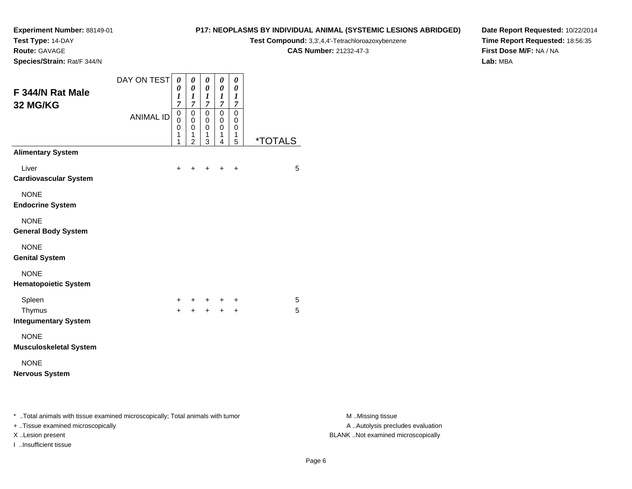**Test Type:** 14-DAY

**Route:** GAVAGE

**Species/Strain:** Rat/F 344/N

# **P17: NEOPLASMS BY INDIVIDUAL ANIMAL (SYSTEMIC LESIONS ABRIDGED)**

**Test Compound:** 3,3',4,4'-Tetrachloroazoxybenzene

**CAS Number:** 21232-47-3

**Date Report Requested:** 10/22/2014**Time Report Requested:** 18:56:35**First Dose M/F:** NA / NA**Lab:** MBA

| F 344/N Rat Male<br>32 MG/KG                                                   | DAY ON TEST      | 0<br>0<br>1<br>$\overline{7}$ | 0<br>$\boldsymbol{\theta}$<br>$\boldsymbol{l}$<br>$\overline{7}$ | 0<br>$\boldsymbol{\theta}$<br>1<br>7 | $\boldsymbol{\theta}$<br>0<br>$\boldsymbol{l}$<br>$\overline{7}$ | 0<br>$\boldsymbol{\theta}$<br>$\boldsymbol{l}$<br>$\overline{7}$ |                       |
|--------------------------------------------------------------------------------|------------------|-------------------------------|------------------------------------------------------------------|--------------------------------------|------------------------------------------------------------------|------------------------------------------------------------------|-----------------------|
|                                                                                | <b>ANIMAL ID</b> | 0<br>0<br>0<br>1<br>1         | $\pmb{0}$<br>0<br>$\mathbf 0$<br>1<br>$\overline{2}$             | 0<br>0<br>$\mathbf 0$<br>1<br>3      | $\pmb{0}$<br>0<br>0<br>1<br>4                                    | $\mathbf 0$<br>0<br>0<br>1<br>5                                  | <i><b>*TOTALS</b></i> |
| <b>Alimentary System</b>                                                       |                  |                               |                                                                  |                                      |                                                                  |                                                                  |                       |
| Liver<br><b>Cardiovascular System</b>                                          |                  | $\ddot{}$                     | +                                                                | +                                    | $\ddot{}$                                                        | +                                                                | 5                     |
| <b>NONE</b><br><b>Endocrine System</b>                                         |                  |                               |                                                                  |                                      |                                                                  |                                                                  |                       |
| <b>NONE</b><br><b>General Body System</b>                                      |                  |                               |                                                                  |                                      |                                                                  |                                                                  |                       |
| <b>NONE</b><br><b>Genital System</b>                                           |                  |                               |                                                                  |                                      |                                                                  |                                                                  |                       |
| <b>NONE</b><br><b>Hematopoietic System</b>                                     |                  |                               |                                                                  |                                      |                                                                  |                                                                  |                       |
| Spleen                                                                         |                  | $+$                           |                                                                  |                                      | $+$ $+$ $+$                                                      | $\ddot{}$                                                        | 5                     |
| Thymus<br><b>Integumentary System</b>                                          |                  | $+$                           | $\ddot{+}$                                                       | $+$                                  | $+$                                                              | $\ddot{}$                                                        | 5                     |
| <b>NONE</b><br><b>Musculoskeletal System</b>                                   |                  |                               |                                                                  |                                      |                                                                  |                                                                  |                       |
| <b>NONE</b><br><b>Nervous System</b>                                           |                  |                               |                                                                  |                                      |                                                                  |                                                                  |                       |
| * Total animals with tissue examined microscopically; Total animals with tumor |                  |                               |                                                                  |                                      |                                                                  |                                                                  |                       |

+ ..Tissue examined microscopically

I ..Insufficient tissue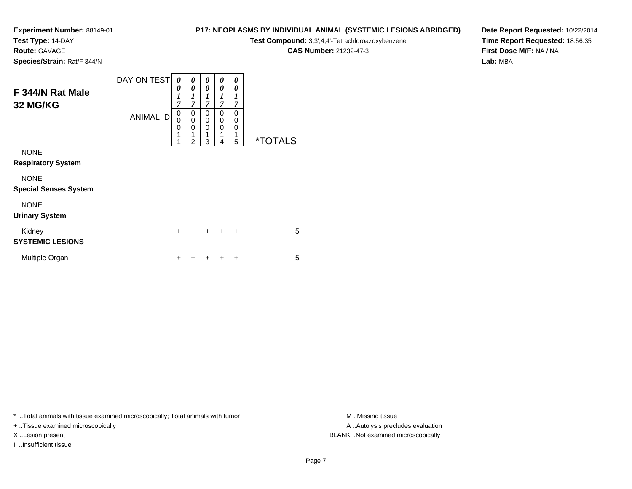**Test Type:** 14-DAY

**Route:** GAVAGE

**P17: NEOPLASMS BY INDIVIDUAL ANIMAL (SYSTEMIC LESIONS ABRIDGED)**

**Test Compound:** 3,3',4,4'-Tetrachloroazoxybenzene

**CAS Number:** 21232-47-3

**Date Report Requested:** 10/22/2014**Time Report Requested:** 18:56:35**First Dose M/F:** NA / NA**Lab:** MBA

**Species/Strain:** Rat/F 344/N

| F 344/N Rat Male<br>32 MG/KG | DAY ON TEST<br><b>ANIMAL ID</b> | 0<br>0<br>1<br>7<br>0<br>$\bar{0}$<br>0<br>1 | 0<br>0<br>$\boldsymbol{l}$<br>$\overline{7}$<br>0<br>$\mathbf 0$<br>$\mathbf 0$<br>1 | 0<br>0<br>1<br>$\overline{7}$<br>0<br>0<br>$\mathbf 0$<br>1 | 0<br>0<br>1<br>$\overline{7}$<br>0<br>0<br>0<br>1 | 0<br>0<br>1<br>7<br>0<br>$\mathbf 0$<br>0<br>1 |                       |
|------------------------------|---------------------------------|----------------------------------------------|--------------------------------------------------------------------------------------|-------------------------------------------------------------|---------------------------------------------------|------------------------------------------------|-----------------------|
|                              |                                 | 1                                            | $\overline{2}$                                                                       | 3                                                           | 4                                                 | 5                                              | <i><b>*TOTALS</b></i> |
| <b>NONE</b>                  |                                 |                                              |                                                                                      |                                                             |                                                   |                                                |                       |
| <b>Respiratory System</b>    |                                 |                                              |                                                                                      |                                                             |                                                   |                                                |                       |
| <b>NONE</b>                  |                                 |                                              |                                                                                      |                                                             |                                                   |                                                |                       |
| <b>Special Senses System</b> |                                 |                                              |                                                                                      |                                                             |                                                   |                                                |                       |
| <b>NONE</b>                  |                                 |                                              |                                                                                      |                                                             |                                                   |                                                |                       |
| <b>Urinary System</b>        |                                 |                                              |                                                                                      |                                                             |                                                   |                                                |                       |
| Kidney                       |                                 | $\div$                                       |                                                                                      | +                                                           | $\ddot{}$                                         | $\ddot{}$                                      | 5                     |
| <b>SYSTEMIC LESIONS</b>      |                                 |                                              |                                                                                      |                                                             |                                                   |                                                |                       |
| Multiple Organ               |                                 | +                                            |                                                                                      |                                                             |                                                   | ÷                                              | 5                     |

\* ..Total animals with tissue examined microscopically; Total animals with tumor **M** . Missing tissue M ..Missing tissue

+ ..Tissue examined microscopically

I ..Insufficient tissue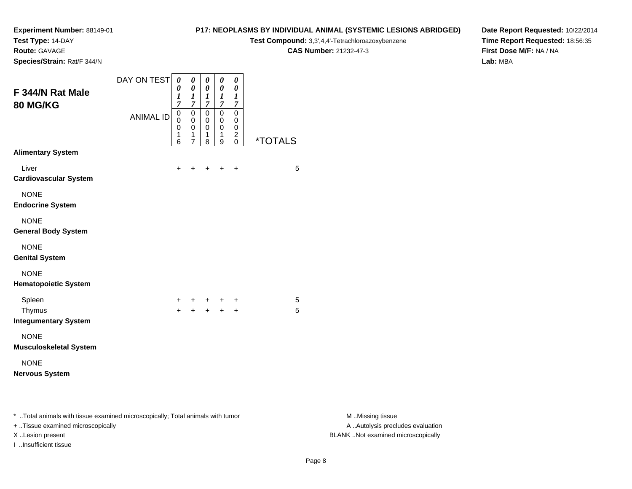**Test Type:** 14-DAY

**Route:** GAVAGE

**Species/Strain:** Rat/F 344/N

# **P17: NEOPLASMS BY INDIVIDUAL ANIMAL (SYSTEMIC LESIONS ABRIDGED)**

**Test Compound:** 3,3',4,4'-Tetrachloroazoxybenzene

**CAS Number:** 21232-47-3

**Date Report Requested:** 10/22/2014**Time Report Requested:** 18:56:35**First Dose M/F:** NA / NA**Lab:** MBA

| F 344/N Rat Male<br><b>80 MG/KG</b>                                            | DAY ON TEST      | 0<br>0<br>1<br>$\overline{7}$   | 0<br>$\boldsymbol{\theta}$<br>$\boldsymbol{l}$<br>$\overline{7}$ | 0<br>$\boldsymbol{\theta}$<br>$\boldsymbol{l}$<br>$\overline{7}$ | 0<br>0<br>$\boldsymbol{l}$<br>$\overline{7}$ | 0<br>0<br>1<br>$\overline{7}$                                    |                       |
|--------------------------------------------------------------------------------|------------------|---------------------------------|------------------------------------------------------------------|------------------------------------------------------------------|----------------------------------------------|------------------------------------------------------------------|-----------------------|
|                                                                                | <b>ANIMAL ID</b> | 0<br>0<br>$\mathbf 0$<br>1<br>6 | 0<br>$\mathbf 0$<br>$\mathbf 0$<br>1<br>$\overline{7}$           | $\mathbf 0$<br>$\mathbf 0$<br>$\mathbf 0$<br>1<br>8              | $\mathbf 0$<br>0<br>$\mathbf 0$<br>1<br>9    | $\mathbf 0$<br>0<br>$\mathbf 0$<br>$\overline{c}$<br>$\mathbf 0$ | <i><b>*TOTALS</b></i> |
| <b>Alimentary System</b>                                                       |                  |                                 |                                                                  |                                                                  |                                              |                                                                  |                       |
| Liver<br><b>Cardiovascular System</b>                                          |                  | $\ddot{}$                       | +                                                                | +                                                                | $\ddot{}$                                    | +                                                                | 5                     |
| <b>NONE</b><br><b>Endocrine System</b>                                         |                  |                                 |                                                                  |                                                                  |                                              |                                                                  |                       |
| <b>NONE</b><br><b>General Body System</b>                                      |                  |                                 |                                                                  |                                                                  |                                              |                                                                  |                       |
| <b>NONE</b><br><b>Genital System</b>                                           |                  |                                 |                                                                  |                                                                  |                                              |                                                                  |                       |
| <b>NONE</b><br><b>Hematopoietic System</b>                                     |                  |                                 |                                                                  |                                                                  |                                              |                                                                  |                       |
| Spleen<br>Thymus                                                               |                  | $\ddot{}$<br>$\ddot{}$          | +<br>$\ddot{}$                                                   | $\ddot{}$<br>$+$                                                 | +<br>$+$                                     | +<br>$\ddot{}$                                                   | 5<br>5                |
| <b>Integumentary System</b>                                                    |                  |                                 |                                                                  |                                                                  |                                              |                                                                  |                       |
| <b>NONE</b><br><b>Musculoskeletal System</b>                                   |                  |                                 |                                                                  |                                                                  |                                              |                                                                  |                       |
| <b>NONE</b><br><b>Nervous System</b>                                           |                  |                                 |                                                                  |                                                                  |                                              |                                                                  |                       |
| * Total animals with tissue examined microscopically; Total animals with tumor |                  |                                 |                                                                  |                                                                  |                                              |                                                                  |                       |

+ ..Tissue examined microscopically

I ..Insufficient tissue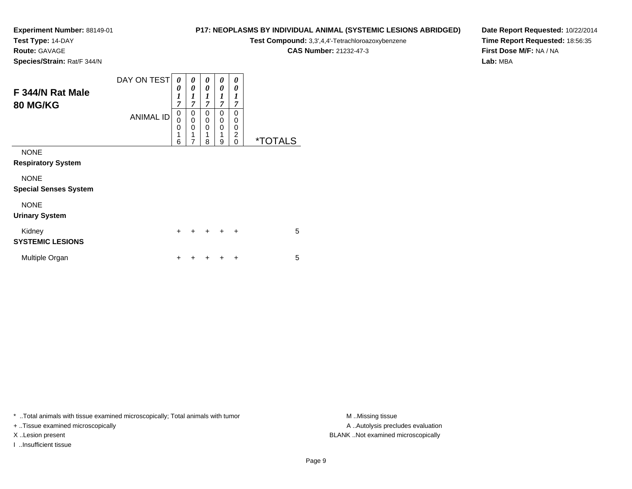**Test Type:** 14-DAY

**Route:** GAVAGE

**P17: NEOPLASMS BY INDIVIDUAL ANIMAL (SYSTEMIC LESIONS ABRIDGED)**

**Test Compound:** 3,3',4,4'-Tetrachloroazoxybenzene

**CAS Number:** 21232-47-3

**Date Report Requested:** 10/22/2014**Time Report Requested:** 18:56:35**First Dose M/F:** NA / NA**Lab:** MBA

**Species/Strain:** Rat/F 344/N

| F 344/N Rat Male<br><b>80 MG/KG</b>         | DAY ON TEST<br><b>ANIMAL ID</b> | 0<br>0<br>$\boldsymbol{l}$<br>7<br>0<br>0<br>0<br>1<br>6 | 0<br>0<br>1<br>7<br>0<br>0<br>0<br>1<br>7 | 0<br>0<br>1<br>7<br>0<br>$\mathbf 0$<br>$\mathbf 0$<br>8 | 0<br>0<br>1<br>7<br>0<br>0<br>0<br>1<br>9 | 0<br>0<br>$\boldsymbol{l}$<br>7<br>0<br>0<br>0<br>$\overline{\mathbf{c}}$<br>0 | <i><b>*TOTALS</b></i> |
|---------------------------------------------|---------------------------------|----------------------------------------------------------|-------------------------------------------|----------------------------------------------------------|-------------------------------------------|--------------------------------------------------------------------------------|-----------------------|
| <b>NONE</b><br><b>Respiratory System</b>    |                                 |                                                          |                                           |                                                          |                                           |                                                                                |                       |
| <b>NONE</b><br><b>Special Senses System</b> |                                 |                                                          |                                           |                                                          |                                           |                                                                                |                       |
| <b>NONE</b><br><b>Urinary System</b>        |                                 |                                                          |                                           |                                                          |                                           |                                                                                |                       |
| Kidney<br><b>SYSTEMIC LESIONS</b>           |                                 | $\ddot{}$                                                | +                                         | $\ddot{}$                                                | $\div$                                    | $\ddot{}$                                                                      | 5                     |
| Multiple Organ                              |                                 | +                                                        |                                           |                                                          |                                           | ÷                                                                              | 5                     |

\* ..Total animals with tissue examined microscopically; Total animals with tumor **M** . Missing tissue M ..Missing tissue

+ ..Tissue examined microscopically

I ..Insufficient tissue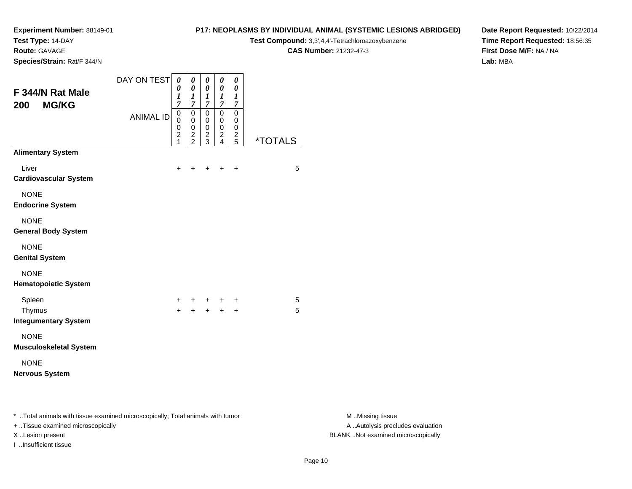**Test Type:** 14-DAY

**Route:** GAVAGE

**P17: NEOPLASMS BY INDIVIDUAL ANIMAL (SYSTEMIC LESIONS ABRIDGED)**

**Test Compound:** 3,3',4,4'-Tetrachloroazoxybenzene

**CAS Number:** 21232-47-3

**Date Report Requested:** 10/22/2014**Time Report Requested:** 18:56:35**First Dose M/F:** NA / NA**Lab:** MBA

| Species/Strain: Rat/F 344/N |  |
|-----------------------------|--|
|-----------------------------|--|

| F 344/N Rat Male                                                                                                     | DAY ON TEST      | $\boldsymbol{\theta}$<br>0<br>1                                      | 0<br>$\pmb{\theta}$<br>1                                 | 0<br>$\pmb{\theta}$<br>1                          | $\pmb{\theta}$<br>$\pmb{\theta}$<br>$\boldsymbol{l}$                           | $\pmb{\theta}$<br>$\pmb{\theta}$<br>$\boldsymbol{l}$                       |                |                                                       |
|----------------------------------------------------------------------------------------------------------------------|------------------|----------------------------------------------------------------------|----------------------------------------------------------|---------------------------------------------------|--------------------------------------------------------------------------------|----------------------------------------------------------------------------|----------------|-------------------------------------------------------|
| <b>MG/KG</b><br>200                                                                                                  | <b>ANIMAL ID</b> | 7<br>0<br>$\mathbf 0$<br>0<br>$\overline{\mathbf{c}}$<br>$\mathbf 1$ | $\overline{7}$<br>0<br>0<br>$\mathbf 0$<br>$\frac{2}{2}$ | 7<br>$\pmb{0}$<br>0<br>$\pmb{0}$<br>$\frac{2}{3}$ | $\boldsymbol{7}$<br>$\mathbf 0$<br>$\mathbf 0$<br>$\mathbf 0$<br>$\frac{2}{4}$ | $\overline{7}$<br>$\pmb{0}$<br>$\mathbf 0$<br>$\mathbf 0$<br>$\frac{2}{5}$ | <u>*TOTALS</u> |                                                       |
| <b>Alimentary System</b>                                                                                             |                  |                                                                      |                                                          |                                                   |                                                                                |                                                                            |                |                                                       |
| Liver<br><b>Cardiovascular System</b>                                                                                |                  | $\ddot{}$                                                            | $\ddot{}$                                                | $\ddot{}$                                         | $\ddot{}$                                                                      | $+$                                                                        | 5              |                                                       |
| <b>NONE</b><br><b>Endocrine System</b>                                                                               |                  |                                                                      |                                                          |                                                   |                                                                                |                                                                            |                |                                                       |
| <b>NONE</b><br><b>General Body System</b>                                                                            |                  |                                                                      |                                                          |                                                   |                                                                                |                                                                            |                |                                                       |
| <b>NONE</b><br><b>Genital System</b>                                                                                 |                  |                                                                      |                                                          |                                                   |                                                                                |                                                                            |                |                                                       |
| <b>NONE</b><br><b>Hematopoietic System</b>                                                                           |                  |                                                                      |                                                          |                                                   |                                                                                |                                                                            |                |                                                       |
| Spleen<br>Thymus<br><b>Integumentary System</b>                                                                      |                  | +<br>$\ddot{}$                                                       | $+$                                                      | $+$                                               | $+$<br>$+ +$                                                                   | +<br>$\ddot{}$                                                             | 5<br>5         |                                                       |
| <b>NONE</b><br><b>Musculoskeletal System</b>                                                                         |                  |                                                                      |                                                          |                                                   |                                                                                |                                                                            |                |                                                       |
| <b>NONE</b><br><b>Nervous System</b>                                                                                 |                  |                                                                      |                                                          |                                                   |                                                                                |                                                                            |                |                                                       |
| *  Total animals with tissue examined microscopically; Total animals with tumor<br>+ Tissue examined microscopically |                  |                                                                      |                                                          |                                                   |                                                                                |                                                                            |                | M Missing tissue<br>A  Autolysis precludes evaluation |

I ..Insufficient tissue

M ..Missing tissue X ..Lesion present BLANK ..Not examined microscopically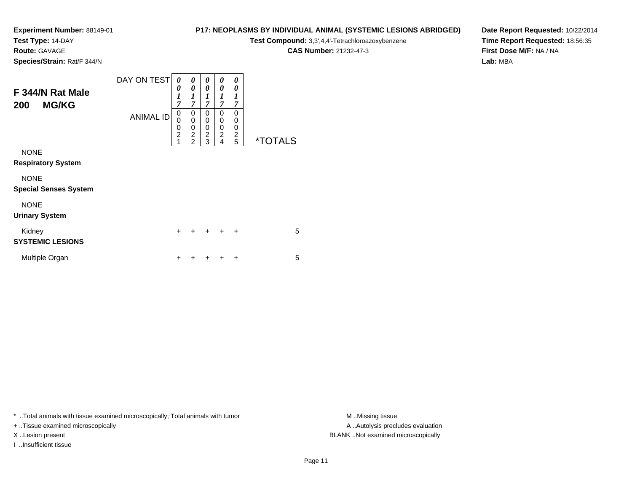**Test Type:** 14-DAY

**Route:** GAVAGE

**Species/Strain:** Rat/F 344/N

# **P17: NEOPLASMS BY INDIVIDUAL ANIMAL (SYSTEMIC LESIONS ABRIDGED)**

**Test Compound:** 3,3',4,4'-Tetrachloroazoxybenzene

**CAS Number:** 21232-47-3

**Date Report Requested:** 10/22/2014**Time Report Requested:** 18:56:35**First Dose M/F:** NA / NA**Lab:** MBA

| F 344/N Rat Male<br><b>MG/KG</b><br>200     | DAY ON TEST<br><b>ANIMAL ID</b> | 0<br>0<br>$\boldsymbol{l}$<br>$\overline{7}$<br>0<br>$\mathbf 0$<br>$\boldsymbol{0}$<br>$\overline{2}$<br>1 | 0<br>0<br>1<br>$\overline{7}$<br>0<br>0<br>$\mathbf 0$<br>$\overline{c}$<br>$\overline{2}$ | 0<br>0<br>$\boldsymbol{l}$<br>$\overline{7}$<br>$\Omega$<br>0<br>0<br>$\overline{c}$<br>3 | 0<br>0<br>1<br>$\overline{7}$<br>0<br>$\mathbf 0$<br>$\mathbf 0$<br>$\overline{c}$<br>4 | 0<br>0<br>1<br>$\overline{7}$<br>0<br>0<br>0<br>$\overline{c}$<br>5 | <i><b>*TOTALS</b></i> |
|---------------------------------------------|---------------------------------|-------------------------------------------------------------------------------------------------------------|--------------------------------------------------------------------------------------------|-------------------------------------------------------------------------------------------|-----------------------------------------------------------------------------------------|---------------------------------------------------------------------|-----------------------|
| <b>NONE</b><br><b>Respiratory System</b>    |                                 |                                                                                                             |                                                                                            |                                                                                           |                                                                                         |                                                                     |                       |
| <b>NONE</b><br><b>Special Senses System</b> |                                 |                                                                                                             |                                                                                            |                                                                                           |                                                                                         |                                                                     |                       |
| <b>NONE</b><br><b>Urinary System</b>        |                                 |                                                                                                             |                                                                                            |                                                                                           |                                                                                         |                                                                     |                       |
| Kidney<br><b>SYSTEMIC LESIONS</b>           |                                 | $\ddot{}$                                                                                                   | +                                                                                          | $\pm$                                                                                     | $\ddot{}$                                                                               | $\ddot{}$                                                           | 5                     |
| Multiple Organ                              |                                 | +                                                                                                           |                                                                                            |                                                                                           | ٠                                                                                       | ÷                                                                   | 5                     |

\* ..Total animals with tissue examined microscopically; Total animals with tumor **M** . Missing tissue M ..Missing tissue

+ ..Tissue examined microscopically

I ..Insufficient tissue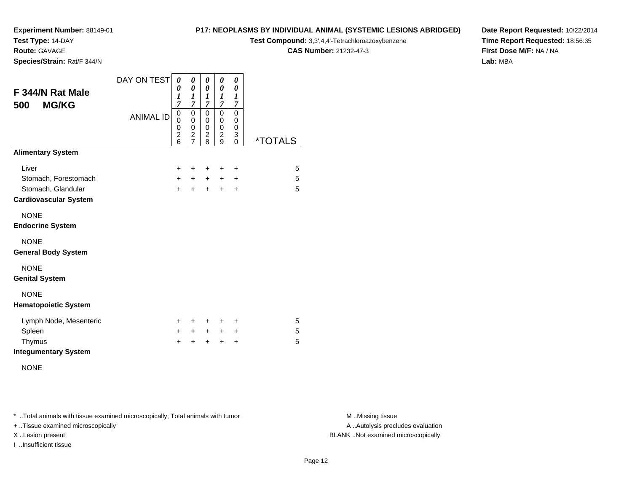**Test Type:** 14-DAY

**Route:** GAVAGE

**Species/Strain:** Rat/F 344/N

#### **P17: NEOPLASMS BY INDIVIDUAL ANIMAL (SYSTEMIC LESIONS ABRIDGED)**

**Test Compound:** 3,3',4,4'-Tetrachloroazoxybenzene

**CAS Number:** 21232-47-3

**Date Report Requested:** 10/22/2014**Time Report Requested:** 18:56:35**First Dose M/F:** NA / NA**Lab:** MBA

| F 344/N Rat Male<br><b>MG/KG</b><br>500 | DAY ON TEST      | 0<br>0<br>1<br>$\overline{7}$                | 0<br>0<br>1<br>$\overline{7}$                                                      | 0<br>0<br>$\boldsymbol{l}$<br>$\overline{7}$     | 0<br>0<br>$\boldsymbol{l}$<br>$\overline{7}$   | 0<br>0<br>1<br>7      |                       |
|-----------------------------------------|------------------|----------------------------------------------|------------------------------------------------------------------------------------|--------------------------------------------------|------------------------------------------------|-----------------------|-----------------------|
|                                         | <b>ANIMAL ID</b> | $\mathbf 0$<br>0<br>0<br>$\overline{c}$<br>6 | $\mathbf 0$<br>$\mathbf 0$<br>$\,0\,$<br>$\overline{\mathbf{c}}$<br>$\overline{7}$ | $\mathbf 0$<br>$\mathbf 0$<br>0<br>$\frac{2}{8}$ | 0<br>0<br>$\mathbf 0$<br>$\boldsymbol{2}$<br>9 | 0<br>0<br>0<br>3<br>0 | <i><b>*TOTALS</b></i> |
| <b>Alimentary System</b>                |                  |                                              |                                                                                    |                                                  |                                                |                       |                       |
| Liver                                   |                  | $\pm$                                        | ÷                                                                                  | ÷                                                | ÷                                              | $\ddot{}$             | 5                     |
| Stomach, Forestomach                    |                  | $+$                                          | $+$                                                                                | $\ddot{}$                                        | $\pm$                                          | $\ddot{}$             | 5                     |
| Stomach, Glandular                      |                  | $+$                                          | $\ddot{}$                                                                          | $+$                                              | $\pm$                                          | $\ddot{}$             | 5                     |
| <b>Cardiovascular System</b>            |                  |                                              |                                                                                    |                                                  |                                                |                       |                       |
| <b>NONE</b>                             |                  |                                              |                                                                                    |                                                  |                                                |                       |                       |
| <b>Endocrine System</b>                 |                  |                                              |                                                                                    |                                                  |                                                |                       |                       |
| <b>NONE</b>                             |                  |                                              |                                                                                    |                                                  |                                                |                       |                       |
| <b>General Body System</b>              |                  |                                              |                                                                                    |                                                  |                                                |                       |                       |
| <b>NONE</b>                             |                  |                                              |                                                                                    |                                                  |                                                |                       |                       |
| <b>Genital System</b>                   |                  |                                              |                                                                                    |                                                  |                                                |                       |                       |
| <b>NONE</b>                             |                  |                                              |                                                                                    |                                                  |                                                |                       |                       |
| <b>Hematopoietic System</b>             |                  |                                              |                                                                                    |                                                  |                                                |                       |                       |
| Lymph Node, Mesenteric                  |                  | +                                            | +                                                                                  | +                                                | +                                              | ÷                     | 5                     |
| Spleen                                  |                  | $\ddot{}$                                    | $\pm$                                                                              | $\ddot{}$                                        | $\ddot{}$                                      | +                     | 5                     |
| Thymus                                  |                  | $\ddot{}$                                    |                                                                                    | $\ddot{}$                                        | $\ddot{}$                                      | $\ddot{}$             | 5                     |
| <b>Integumentary System</b>             |                  |                                              |                                                                                    |                                                  |                                                |                       |                       |

NONE

\* ..Total animals with tissue examined microscopically; Total animals with tumor **M** . Missing tissue M ..Missing tissue

+ ..Tissue examined microscopically

I ..Insufficient tissue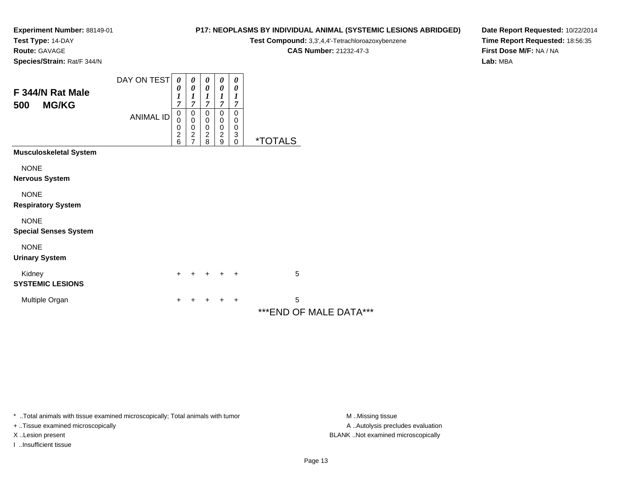**Test Type:** 14-DAY

**Route:** GAVAGE

**P17: NEOPLASMS BY INDIVIDUAL ANIMAL (SYSTEMIC LESIONS ABRIDGED)**

**Test Compound:** 3,3',4,4'-Tetrachloroazoxybenzene

**CAS Number:** 21232-47-3

**Date Report Requested:** 10/22/2014**Time Report Requested:** 18:56:35**First Dose M/F:** NA / NA**Lab:** MBA

|  | Species/Strain: Rat/F 344/N |
|--|-----------------------------|
|  |                             |

| F 344/N Rat Male<br><b>MG/KG</b><br>500     | DAY ON TEST<br><b>ANIMAL ID</b> | 0<br>0<br>1<br>7<br>0<br>0<br>0<br>2<br>6 | 0<br>$\boldsymbol{\theta}$<br>$\boldsymbol{l}$<br>7<br>0<br>$\mathbf 0$<br>$\mathbf 0$<br>$\boldsymbol{2}$<br>$\overline{7}$ | 0<br>0<br>1<br>7<br>0<br>0<br>$\mathbf 0$<br>$\overline{c}$<br>8 | 0<br>$\boldsymbol{\theta}$<br>$\boldsymbol{l}$<br>$\overline{7}$<br>0<br>$\pmb{0}$<br>$\mathbf 0$<br>$\boldsymbol{2}$<br>9 | $\boldsymbol{\theta}$<br>0<br>$\boldsymbol{l}$<br>$\overline{7}$<br>0<br>$\pmb{0}$<br>0<br>$\ensuremath{\mathsf{3}}$<br>$\mathbf 0$ | <i><b>*TOTALS</b></i>        |
|---------------------------------------------|---------------------------------|-------------------------------------------|------------------------------------------------------------------------------------------------------------------------------|------------------------------------------------------------------|----------------------------------------------------------------------------------------------------------------------------|-------------------------------------------------------------------------------------------------------------------------------------|------------------------------|
| <b>Musculoskeletal System</b>               |                                 |                                           |                                                                                                                              |                                                                  |                                                                                                                            |                                                                                                                                     |                              |
| <b>NONE</b><br><b>Nervous System</b>        |                                 |                                           |                                                                                                                              |                                                                  |                                                                                                                            |                                                                                                                                     |                              |
| <b>NONE</b><br><b>Respiratory System</b>    |                                 |                                           |                                                                                                                              |                                                                  |                                                                                                                            |                                                                                                                                     |                              |
| <b>NONE</b><br><b>Special Senses System</b> |                                 |                                           |                                                                                                                              |                                                                  |                                                                                                                            |                                                                                                                                     |                              |
| <b>NONE</b><br><b>Urinary System</b>        |                                 |                                           |                                                                                                                              |                                                                  |                                                                                                                            |                                                                                                                                     |                              |
| Kidney<br><b>SYSTEMIC LESIONS</b>           |                                 | $\pm$                                     |                                                                                                                              | $+$                                                              | $+$ $+$                                                                                                                    |                                                                                                                                     | 5                            |
| Multiple Organ                              |                                 | ٠                                         | +                                                                                                                            | ÷                                                                | ÷                                                                                                                          | $\ddot{}$                                                                                                                           | 5<br>*** END OF MALE DATA*** |

\* ..Total animals with tissue examined microscopically; Total animals with tumor **M** . Missing tissue M ..Missing tissue

+ ..Tissue examined microscopically

I ..Insufficient tissue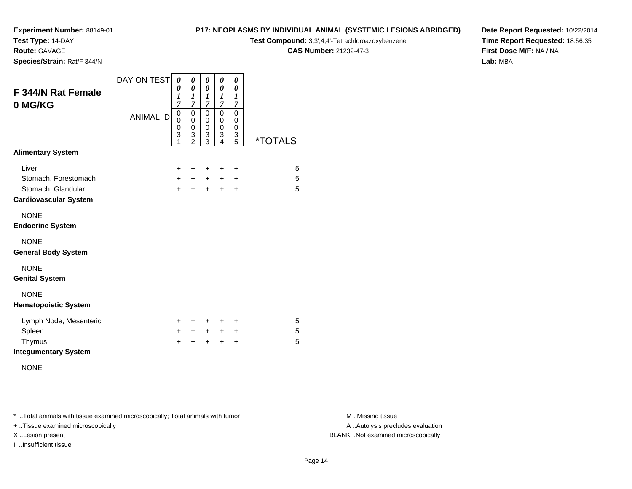**Test Type:** 14-DAY

**Route:** GAVAGE

**Species/Strain:** Rat/F 344/N

#### **P17: NEOPLASMS BY INDIVIDUAL ANIMAL (SYSTEMIC LESIONS ABRIDGED)**

**Test Compound:** 3,3',4,4'-Tetrachloroazoxybenzene

**CAS Number:** 21232-47-3

**Date Report Requested:** 10/22/2014**Time Report Requested:** 18:56:35**First Dose M/F:** NA / NA**Lab:** MBA

| <b>F344/N Rat Female</b>     | DAY ON TEST      | 0<br>0<br>1                             | 0<br>0<br>1                                          | 0<br>0<br>$\boldsymbol{l}$                        | 0<br>0<br>1                             | 0<br>0<br>$\boldsymbol{l}$              |                       |
|------------------------------|------------------|-----------------------------------------|------------------------------------------------------|---------------------------------------------------|-----------------------------------------|-----------------------------------------|-----------------------|
| 0 MG/KG                      | <b>ANIMAL ID</b> | $\overline{7}$<br>0<br>0<br>0<br>3<br>1 | $\overline{7}$<br>0<br>0<br>0<br>3<br>$\mathfrak{p}$ | $\overline{7}$<br>$\mathbf 0$<br>0<br>0<br>3<br>3 | $\overline{7}$<br>0<br>0<br>0<br>3<br>4 | $\overline{7}$<br>0<br>0<br>0<br>3<br>5 | <i><b>*TOTALS</b></i> |
| <b>Alimentary System</b>     |                  |                                         |                                                      |                                                   |                                         |                                         |                       |
| Liver                        |                  | +                                       | +                                                    | +                                                 | +                                       | +                                       | 5                     |
| Stomach, Forestomach         |                  | $+$                                     | $+$                                                  | $+$                                               | $+$                                     | $\ddot{}$                               | 5                     |
| Stomach, Glandular           |                  | $\ddot{}$                               | $\ddot{}$                                            | $\ddot{}$                                         | $\ddot{}$                               | +                                       | 5                     |
| <b>Cardiovascular System</b> |                  |                                         |                                                      |                                                   |                                         |                                         |                       |
| <b>NONE</b>                  |                  |                                         |                                                      |                                                   |                                         |                                         |                       |
| <b>Endocrine System</b>      |                  |                                         |                                                      |                                                   |                                         |                                         |                       |
| <b>NONE</b>                  |                  |                                         |                                                      |                                                   |                                         |                                         |                       |
| <b>General Body System</b>   |                  |                                         |                                                      |                                                   |                                         |                                         |                       |
| <b>NONE</b>                  |                  |                                         |                                                      |                                                   |                                         |                                         |                       |
| <b>Genital System</b>        |                  |                                         |                                                      |                                                   |                                         |                                         |                       |
| <b>NONE</b>                  |                  |                                         |                                                      |                                                   |                                         |                                         |                       |
| <b>Hematopoietic System</b>  |                  |                                         |                                                      |                                                   |                                         |                                         |                       |
| Lymph Node, Mesenteric       |                  | +                                       | +                                                    | $\ddot{}$                                         | ÷                                       | ÷                                       | 5                     |
| Spleen                       |                  | $\pm$                                   | $+$                                                  | $+$                                               | $+$                                     | $\ddot{}$                               | 5                     |
| Thymus                       |                  | $\div$                                  | +                                                    | $\ddot{}$                                         | $\div$                                  | +                                       | 5                     |
| <b>Integumentary System</b>  |                  |                                         |                                                      |                                                   |                                         |                                         |                       |

NONE

\* ..Total animals with tissue examined microscopically; Total animals with tumor **M** . Missing tissue M ..Missing tissue

+ ..Tissue examined microscopically

I ..Insufficient tissue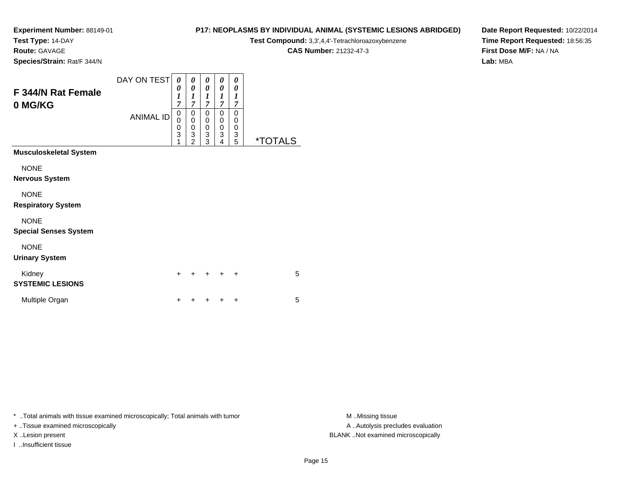**Test Type:** 14-DAY

**Route:** GAVAGE

**Species/Strain:** Rat/F 344/N

# **P17: NEOPLASMS BY INDIVIDUAL ANIMAL (SYSTEMIC LESIONS ABRIDGED)**

**Test Compound:** 3,3',4,4'-Tetrachloroazoxybenzene

**CAS Number:** 21232-47-3

**Date Report Requested:** 10/22/2014**Time Report Requested:** 18:56:35**First Dose M/F:** NA / NA**Lab:** MBA

| <b>F344/N Rat Female</b><br>0 MG/KG         | DAY ON TEST<br><b>ANIMAL ID</b> | 0<br>0<br>1<br>7<br>0<br>0<br>0<br>3<br>1 | 0<br>0<br>1<br>7<br>0<br>$\pmb{0}$<br>$\pmb{0}$<br>$\frac{3}{2}$ | 0<br>$\pmb{\theta}$<br>$\boldsymbol{l}$<br>7<br>0<br>$\boldsymbol{0}$<br>$\begin{matrix}0\\3\\3\end{matrix}$ | 0<br>0<br>$\boldsymbol{l}$<br>7<br>0<br>0<br>$\boldsymbol{0}$<br>3<br>4 | 0<br>0<br>$\boldsymbol{l}$<br>7<br>0<br>0<br>0<br>$\frac{3}{5}$ | <i><b>*TOTALS</b></i> |
|---------------------------------------------|---------------------------------|-------------------------------------------|------------------------------------------------------------------|--------------------------------------------------------------------------------------------------------------|-------------------------------------------------------------------------|-----------------------------------------------------------------|-----------------------|
| <b>Musculoskeletal System</b>               |                                 |                                           |                                                                  |                                                                                                              |                                                                         |                                                                 |                       |
| <b>NONE</b><br><b>Nervous System</b>        |                                 |                                           |                                                                  |                                                                                                              |                                                                         |                                                                 |                       |
| <b>NONE</b><br><b>Respiratory System</b>    |                                 |                                           |                                                                  |                                                                                                              |                                                                         |                                                                 |                       |
| <b>NONE</b><br><b>Special Senses System</b> |                                 |                                           |                                                                  |                                                                                                              |                                                                         |                                                                 |                       |
| <b>NONE</b><br><b>Urinary System</b>        |                                 |                                           |                                                                  |                                                                                                              |                                                                         |                                                                 |                       |
| Kidney<br><b>SYSTEMIC LESIONS</b>           |                                 | +                                         |                                                                  |                                                                                                              |                                                                         | ÷                                                               | 5                     |
| Multiple Organ                              |                                 |                                           |                                                                  |                                                                                                              |                                                                         | ٠                                                               | 5                     |
|                                             |                                 |                                           |                                                                  |                                                                                                              |                                                                         |                                                                 |                       |

\* ..Total animals with tissue examined microscopically; Total animals with tumor **M** . Missing tissue M ..Missing tissue

+ ..Tissue examined microscopically

I ..Insufficient tissue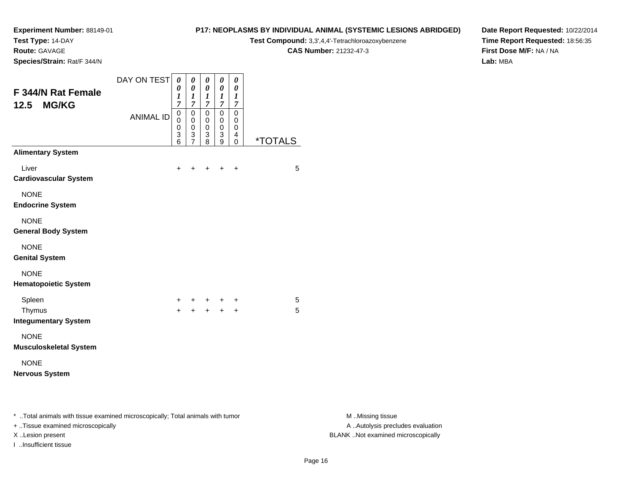**Test Type:** 14-DAY

**Route:** GAVAGE

**Species/Strain:** Rat/F 344/N

#### **P17: NEOPLASMS BY INDIVIDUAL ANIMAL (SYSTEMIC LESIONS ABRIDGED)**

**Test Compound:** 3,3',4,4'-Tetrachloroazoxybenzene

**CAS Number:** 21232-47-3

**Date Report Requested:** 10/22/2014**Time Report Requested:** 18:56:35**First Dose M/F:** NA / NA**Lab:** MBA

| F 344/N Rat Female<br><b>MG/KG</b><br>12.5                                                                                | DAY ON TEST      | 0<br>0<br>1<br>$\overline{7}$ | 0<br>0<br>1<br>$\overline{7}$      | $\boldsymbol{\theta}$<br>0<br>1<br>$\overline{7}$ | 0<br>0<br>1<br>$\overline{7}$                  | 0<br>0<br>1<br>7             |                       |
|---------------------------------------------------------------------------------------------------------------------------|------------------|-------------------------------|------------------------------------|---------------------------------------------------|------------------------------------------------|------------------------------|-----------------------|
|                                                                                                                           | <b>ANIMAL ID</b> | 0<br>0<br>0<br>3<br>6         | 0<br>0<br>0<br>3<br>$\overline{7}$ | 0<br>0<br>0<br>3<br>8                             | $\mathbf 0$<br>0<br>$\boldsymbol{0}$<br>3<br>9 | 0<br>0<br>0<br>4<br>$\Omega$ | <i><b>*TOTALS</b></i> |
| <b>Alimentary System</b>                                                                                                  |                  |                               |                                    |                                                   |                                                |                              |                       |
| Liver<br><b>Cardiovascular System</b>                                                                                     |                  | +                             |                                    | ٠                                                 | ٠                                              | +                            | 5                     |
| <b>NONE</b><br><b>Endocrine System</b>                                                                                    |                  |                               |                                    |                                                   |                                                |                              |                       |
| <b>NONE</b><br><b>General Body System</b>                                                                                 |                  |                               |                                    |                                                   |                                                |                              |                       |
| <b>NONE</b><br><b>Genital System</b>                                                                                      |                  |                               |                                    |                                                   |                                                |                              |                       |
| <b>NONE</b><br><b>Hematopoietic System</b>                                                                                |                  |                               |                                    |                                                   |                                                |                              |                       |
| Spleen                                                                                                                    |                  | +                             | +                                  |                                                   |                                                | +                            | 5                     |
| Thymus<br><b>Integumentary System</b>                                                                                     |                  | $\ddot{}$                     | $+$                                | $+$                                               | $+$                                            | $\ddot{}$                    | 5                     |
| <b>NONE</b><br><b>Musculoskeletal System</b>                                                                              |                  |                               |                                    |                                                   |                                                |                              |                       |
| <b>NONE</b><br><b>Nervous System</b>                                                                                      |                  |                               |                                    |                                                   |                                                |                              |                       |
|                                                                                                                           |                  |                               |                                    |                                                   |                                                |                              |                       |
| * Total animals with tissue examined microscopically; Total animals with tumor<br><b>Tionus overwined microsophically</b> |                  |                               |                                    |                                                   |                                                |                              |                       |

+ ..Tissue examined microscopically

I ..Insufficient tissue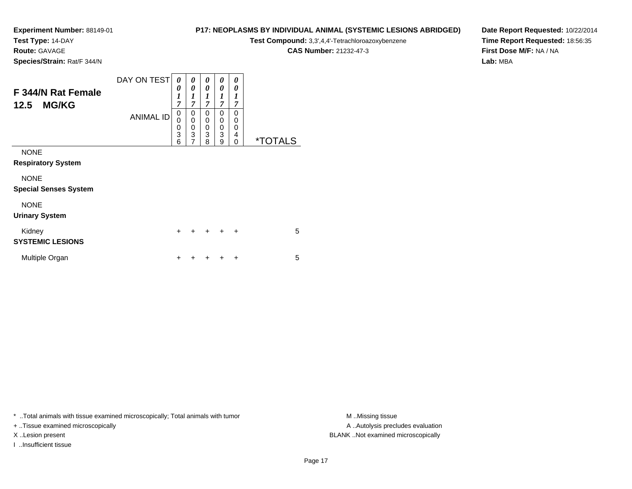**Test Type:** 14-DAY

**Route:** GAVAGE

**P17: NEOPLASMS BY INDIVIDUAL ANIMAL (SYSTEMIC LESIONS ABRIDGED)**

**Test Compound:** 3,3',4,4'-Tetrachloroazoxybenzene

**CAS Number:** 21232-47-3

**Date Report Requested:** 10/22/2014**Time Report Requested:** 18:56:35**First Dose M/F:** NA / NA**Lab:** MBA

**Species/Strain:** Rat/F 344/N

| F 344/N Rat Female<br><b>MG/KG</b><br>12.5  | DAY ON TEST      | 0<br>0<br>$\boldsymbol{l}$<br>7              | 0<br>0<br>1<br>$\overline{7}$                | 0<br>0<br>1<br>$\overline{7}$             | 0<br>0<br>1<br>$\overline{7}$ | 0<br>0<br>1<br>7                |                       |
|---------------------------------------------|------------------|----------------------------------------------|----------------------------------------------|-------------------------------------------|-------------------------------|---------------------------------|-----------------------|
|                                             | <b>ANIMAL ID</b> | 0<br>$\mathbf 0$<br>0<br>$\overline{3}$<br>6 | 0<br>0<br>$\mathbf 0$<br>3<br>$\overline{7}$ | 0<br>$\mathbf 0$<br>$\mathbf 0$<br>3<br>8 | 0<br>0<br>0<br>3<br>9         | 0<br>0<br>0<br>4<br>$\mathbf 0$ | <i><b>*TOTALS</b></i> |
| <b>NONE</b><br><b>Respiratory System</b>    |                  |                                              |                                              |                                           |                               |                                 |                       |
| <b>NONE</b><br><b>Special Senses System</b> |                  |                                              |                                              |                                           |                               |                                 |                       |
| <b>NONE</b><br><b>Urinary System</b>        |                  |                                              |                                              |                                           |                               |                                 |                       |
| Kidney<br><b>SYSTEMIC LESIONS</b>           |                  | $\ddot{}$                                    | +                                            | +                                         | $\ddot{}$                     | $\ddot{}$                       | 5                     |
| Multiple Organ                              |                  | +                                            |                                              |                                           |                               | ÷                               | 5                     |

\* ..Total animals with tissue examined microscopically; Total animals with tumor **M** . Missing tissue M ..Missing tissue

+ ..Tissue examined microscopically

I ..Insufficient tissue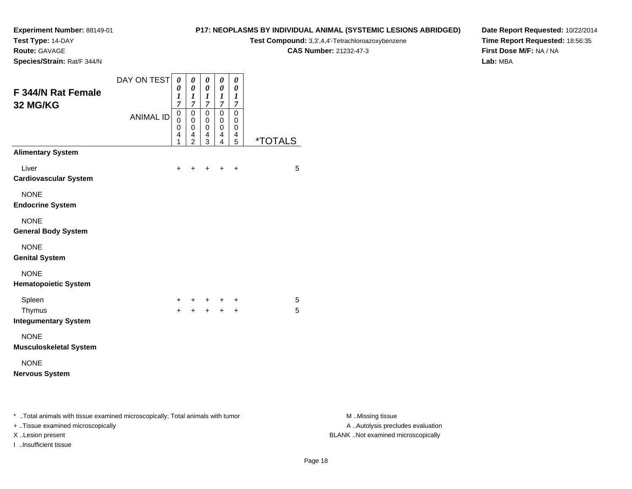**Test Type:** 14-DAY

**Route:** GAVAGE

**Species/Strain:** Rat/F 344/N

## **P17: NEOPLASMS BY INDIVIDUAL ANIMAL (SYSTEMIC LESIONS ABRIDGED)**

**Test Compound:** 3,3',4,4'-Tetrachloroazoxybenzene

**CAS Number:** 21232-47-3

**Date Report Requested:** 10/22/2014**Time Report Requested:** 18:56:35**First Dose M/F:** NA / NA**Lab:** MBA

| <b>F 344/N Rat Female</b><br>32 MG/KG                                          | DAY ON TEST      | 0<br>0<br>1<br>$\overline{7}$ | $\pmb{\theta}$<br>$\pmb{\theta}$<br>$\boldsymbol{l}$<br>$\overline{7}$ | $\pmb{\theta}$<br>$\pmb{\theta}$<br>$\boldsymbol{l}$<br>$\overline{7}$ | 0<br>0<br>$\boldsymbol{l}$<br>$\overline{7}$ | 0<br>$\boldsymbol{\theta}$<br>1<br>$\overline{7}$ |                       |
|--------------------------------------------------------------------------------|------------------|-------------------------------|------------------------------------------------------------------------|------------------------------------------------------------------------|----------------------------------------------|---------------------------------------------------|-----------------------|
|                                                                                | <b>ANIMAL ID</b> | 0<br>0<br>0<br>4<br>1         | 0<br>0<br>0<br>4<br>$\overline{2}$                                     | $\mathsf 0$<br>0<br>$\pmb{0}$<br>4<br>3                                | $\mathbf 0$<br>0<br>0<br>4<br>4              | $\mathbf 0$<br>0<br>0<br>4<br>5                   | <i><b>*TOTALS</b></i> |
| <b>Alimentary System</b>                                                       |                  |                               |                                                                        |                                                                        |                                              |                                                   |                       |
| Liver<br><b>Cardiovascular System</b>                                          |                  | +                             | ٠                                                                      | +                                                                      | ٠                                            | $\ddot{}$                                         | 5                     |
| <b>NONE</b><br><b>Endocrine System</b>                                         |                  |                               |                                                                        |                                                                        |                                              |                                                   |                       |
| <b>NONE</b><br><b>General Body System</b>                                      |                  |                               |                                                                        |                                                                        |                                              |                                                   |                       |
| <b>NONE</b><br><b>Genital System</b>                                           |                  |                               |                                                                        |                                                                        |                                              |                                                   |                       |
| <b>NONE</b><br><b>Hematopoietic System</b>                                     |                  |                               |                                                                        |                                                                        |                                              |                                                   |                       |
| Spleen                                                                         |                  | $\ddot{}$                     | +                                                                      | $+$                                                                    | $+$                                          | +                                                 | 5                     |
| Thymus<br><b>Integumentary System</b>                                          |                  | $+$                           | $+$                                                                    | $+$                                                                    | $+$                                          | $+$                                               | 5                     |
| <b>NONE</b><br><b>Musculoskeletal System</b>                                   |                  |                               |                                                                        |                                                                        |                                              |                                                   |                       |
| <b>NONE</b><br><b>Nervous System</b>                                           |                  |                               |                                                                        |                                                                        |                                              |                                                   |                       |
| * Total animals with tissue examined microscopically; Total animals with tumor |                  |                               |                                                                        |                                                                        |                                              |                                                   |                       |

+ ..Tissue examined microscopically

I ..Insufficient tissue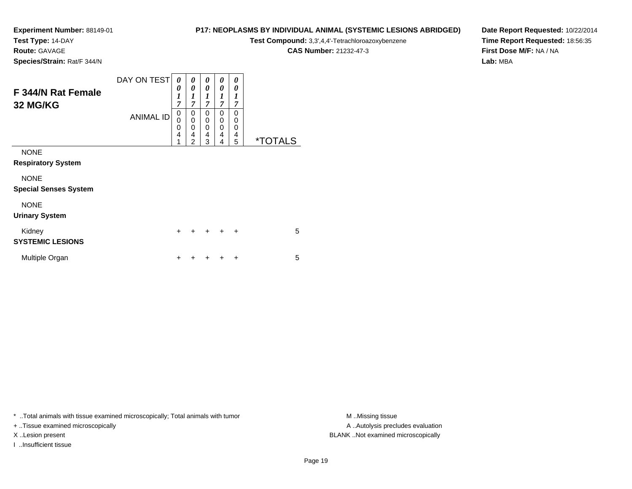**Test Type:** 14-DAY

**Route:** GAVAGE

**P17: NEOPLASMS BY INDIVIDUAL ANIMAL (SYSTEMIC LESIONS ABRIDGED)**

**Test Compound:** 3,3',4,4'-Tetrachloroazoxybenzene

**CAS Number:** 21232-47-3

**Date Report Requested:** 10/22/2014**Time Report Requested:** 18:56:35**First Dose M/F:** NA / NA**Lab:** MBA

**Species/Strain:** Rat/F 344/N

| F 344/N Rat Female<br>32 MG/KG              | DAY ON TEST      | 0<br>0<br>1<br>$\overline{7}$<br>0 | 0<br>0<br>$\boldsymbol{l}$<br>$\overline{7}$<br>0 | 0<br>$\theta$<br>1<br>$\overline{7}$<br>0 | 0<br>0<br>1<br>7<br>0 | 0<br>0<br>1<br>7<br>0 |                       |
|---------------------------------------------|------------------|------------------------------------|---------------------------------------------------|-------------------------------------------|-----------------------|-----------------------|-----------------------|
|                                             | <b>ANIMAL ID</b> | 0<br>0<br>4<br>1                   | $\mathbf 0$<br>$\Omega$<br>4<br>$\overline{2}$    | 0<br>$\Omega$<br>4<br>3                   | 0<br>0<br>4<br>4      | 0<br>0<br>4<br>5      | <i><b>*TOTALS</b></i> |
| <b>NONE</b><br><b>Respiratory System</b>    |                  |                                    |                                                   |                                           |                       |                       |                       |
| <b>NONE</b><br><b>Special Senses System</b> |                  |                                    |                                                   |                                           |                       |                       |                       |
| <b>NONE</b><br><b>Urinary System</b>        |                  |                                    |                                                   |                                           |                       |                       |                       |
| Kidney<br><b>SYSTEMIC LESIONS</b>           |                  | $\ddot{}$                          | +                                                 | $\ddot{}$                                 | $\ddot{}$             | $\ddot{}$             | 5                     |
| Multiple Organ                              |                  | ÷                                  | ٠                                                 |                                           |                       | ÷                     | 5                     |

\* ..Total animals with tissue examined microscopically; Total animals with tumor **M** . Missing tissue M ..Missing tissue

+ ..Tissue examined microscopically

I ..Insufficient tissue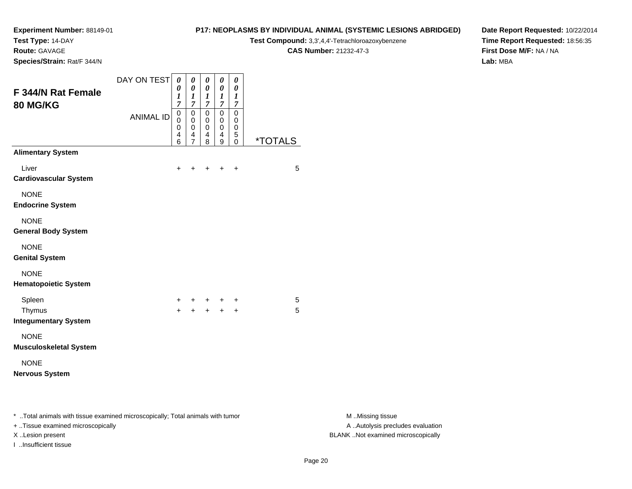**Test Type:** 14-DAY

**Route:** GAVAGE

**Species/Strain:** Rat/F 344/N

### **P17: NEOPLASMS BY INDIVIDUAL ANIMAL (SYSTEMIC LESIONS ABRIDGED)**

**Test Compound:** 3,3',4,4'-Tetrachloroazoxybenzene

**CAS Number:** 21232-47-3

**Date Report Requested:** 10/22/2014**Time Report Requested:** 18:56:35**First Dose M/F:** NA / NA**Lab:** MBA

| <b>F 344/N Rat Female</b><br><b>80 MG/KG</b>                                                                              | DAY ON TEST      | 0<br>0<br>1<br>7      | $\pmb{\theta}$<br>0<br>$\boldsymbol{l}$<br>$\overline{7}$ | $\boldsymbol{\theta}$<br>0<br>$\boldsymbol{l}$<br>7 | 0<br>0<br>1<br>7                                       | 0<br>0<br>1<br>7      |                       |
|---------------------------------------------------------------------------------------------------------------------------|------------------|-----------------------|-----------------------------------------------------------|-----------------------------------------------------|--------------------------------------------------------|-----------------------|-----------------------|
|                                                                                                                           | <b>ANIMAL ID</b> | 0<br>0<br>0<br>4<br>6 | 0<br>$\mathbf 0$<br>0<br>4<br>$\overline{7}$              | 0<br>0<br>0<br>4<br>8                               | $\mathbf 0$<br>0<br>$\mathbf 0$<br>$\overline{4}$<br>9 | 0<br>0<br>0<br>5<br>0 | <i><b>*TOTALS</b></i> |
| <b>Alimentary System</b>                                                                                                  |                  |                       |                                                           |                                                     |                                                        |                       |                       |
| Liver<br><b>Cardiovascular System</b>                                                                                     |                  | +                     |                                                           | +                                                   |                                                        | ٠                     | 5                     |
| <b>NONE</b><br><b>Endocrine System</b>                                                                                    |                  |                       |                                                           |                                                     |                                                        |                       |                       |
| <b>NONE</b><br><b>General Body System</b>                                                                                 |                  |                       |                                                           |                                                     |                                                        |                       |                       |
| <b>NONE</b><br><b>Genital System</b>                                                                                      |                  |                       |                                                           |                                                     |                                                        |                       |                       |
| <b>NONE</b><br><b>Hematopoietic System</b>                                                                                |                  |                       |                                                           |                                                     |                                                        |                       |                       |
| Spleen                                                                                                                    |                  | $\ddot{}$             | +                                                         | $+$ $-$                                             |                                                        | +                     | 5                     |
| Thymus<br><b>Integumentary System</b>                                                                                     |                  | $+$                   | $+$                                                       | $+$                                                 | $+$                                                    | $\ddot{}$             | 5                     |
| <b>NONE</b><br><b>Musculoskeletal System</b>                                                                              |                  |                       |                                                           |                                                     |                                                        |                       |                       |
| <b>NONE</b><br><b>Nervous System</b>                                                                                      |                  |                       |                                                           |                                                     |                                                        |                       |                       |
|                                                                                                                           |                  |                       |                                                           |                                                     |                                                        |                       |                       |
| * Total animals with tissue examined microscopically; Total animals with tumor<br><b>Ticous overwined microscopically</b> |                  |                       |                                                           |                                                     |                                                        |                       |                       |

+ ..Tissue examined microscopically

I ..Insufficient tissue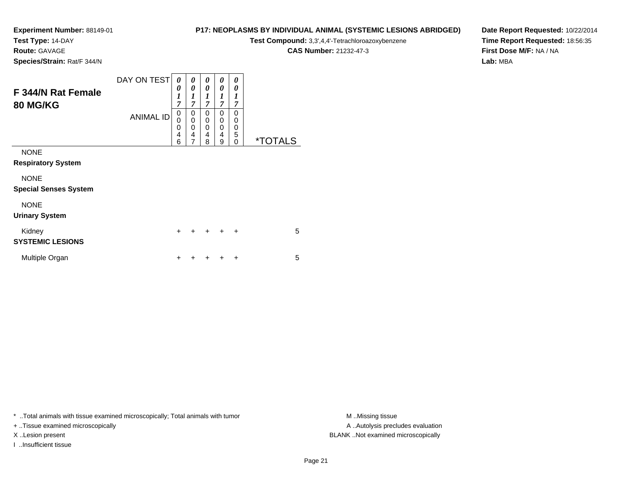**Test Type:** 14-DAY

**Route:** GAVAGE

**P17: NEOPLASMS BY INDIVIDUAL ANIMAL (SYSTEMIC LESIONS ABRIDGED)**

**Test Compound:** 3,3',4,4'-Tetrachloroazoxybenzene

**CAS Number:** 21232-47-3

**Date Report Requested:** 10/22/2014**Time Report Requested:** 18:56:35**First Dose M/F:** NA / NA**Lab:** MBA

**Species/Strain:** Rat/F 344/N

| F 344/N Rat Female<br><b>80 MG/KG</b>       | DAY ON TEST      | 0<br>0<br>1<br>7      | 0<br>$\boldsymbol{\theta}$<br>$\boldsymbol{l}$<br>$\overline{7}$    | 0<br>0<br>1<br>$\overline{7}$ | 0<br>0<br>$\boldsymbol{l}$<br>7 | 0<br>0<br>1<br>7                                  |                       |
|---------------------------------------------|------------------|-----------------------|---------------------------------------------------------------------|-------------------------------|---------------------------------|---------------------------------------------------|-----------------------|
|                                             | <b>ANIMAL ID</b> | 0<br>0<br>0<br>4<br>6 | 0<br>$\mathbf 0$<br>$\mathbf 0$<br>$\overline{4}$<br>$\overline{7}$ | 0<br>0<br>0<br>4<br>8         | 0<br>0<br>0<br>4<br>9           | $\Omega$<br>$\Omega$<br>$\Omega$<br>5<br>$\Omega$ | <i><b>*TOTALS</b></i> |
| <b>NONE</b>                                 |                  |                       |                                                                     |                               |                                 |                                                   |                       |
| <b>Respiratory System</b>                   |                  |                       |                                                                     |                               |                                 |                                                   |                       |
| <b>NONE</b><br><b>Special Senses System</b> |                  |                       |                                                                     |                               |                                 |                                                   |                       |
| <b>NONE</b><br><b>Urinary System</b>        |                  |                       |                                                                     |                               |                                 |                                                   |                       |
| Kidney<br><b>SYSTEMIC LESIONS</b>           |                  | $\ddot{}$             | +                                                                   |                               | $\div$                          | $\ddot{}$                                         | 5                     |
| Multiple Organ                              |                  | ÷                     |                                                                     |                               |                                 | ÷                                                 | 5                     |

\* ..Total animals with tissue examined microscopically; Total animals with tumor **M** . Missing tissue M ..Missing tissue

+ ..Tissue examined microscopically

I ..Insufficient tissue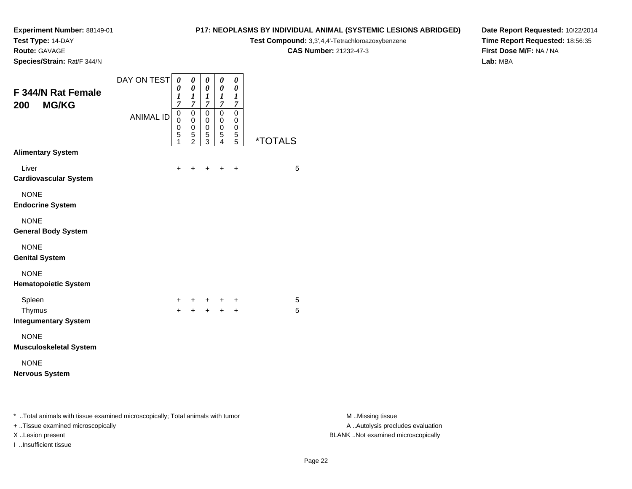**Test Type:** 14-DAY

**Route:** GAVAGE

I ..Insufficient tissue

**Species/Strain:** Rat/F 344/N

# **P17: NEOPLASMS BY INDIVIDUAL ANIMAL (SYSTEMIC LESIONS ABRIDGED)**

**Test Compound:** 3,3',4,4'-Tetrachloroazoxybenzene

**CAS Number:** 21232-47-3

**Date Report Requested:** 10/22/2014**Time Report Requested:** 18:56:35**First Dose M/F:** NA / NA**Lab:** MBA

| <b>F 344/N Rat Female</b><br><b>MG/KG</b><br>200                                                                    | DAY ON TEST      | 0<br>0<br>1<br>7      | 0<br>$\boldsymbol{\theta}$<br>$\boldsymbol{l}$<br>$\overline{7}$ | 0<br>0<br>$\boldsymbol{l}$<br>$\overline{7}$ | 0<br>0<br>1<br>7                   | 0<br>0<br>$\boldsymbol{l}$<br>$\overline{7}$ |                       |
|---------------------------------------------------------------------------------------------------------------------|------------------|-----------------------|------------------------------------------------------------------|----------------------------------------------|------------------------------------|----------------------------------------------|-----------------------|
|                                                                                                                     | <b>ANIMAL ID</b> | 0<br>0<br>0<br>5<br>1 | 0<br>0<br>$\boldsymbol{0}$<br>5<br>$\overline{2}$                | 0<br>0<br>0<br>5<br>3                        | 0<br>0<br>0<br>5<br>$\overline{4}$ | 0<br>0<br>0<br>5<br>5                        | <i><b>*TOTALS</b></i> |
| <b>Alimentary System</b>                                                                                            |                  |                       |                                                                  |                                              |                                    |                                              |                       |
| Liver<br><b>Cardiovascular System</b>                                                                               |                  | +                     |                                                                  |                                              |                                    | +                                            | 5                     |
| <b>NONE</b><br><b>Endocrine System</b>                                                                              |                  |                       |                                                                  |                                              |                                    |                                              |                       |
| <b>NONE</b><br><b>General Body System</b>                                                                           |                  |                       |                                                                  |                                              |                                    |                                              |                       |
| <b>NONE</b><br><b>Genital System</b>                                                                                |                  |                       |                                                                  |                                              |                                    |                                              |                       |
| <b>NONE</b><br><b>Hematopoietic System</b>                                                                          |                  |                       |                                                                  |                                              |                                    |                                              |                       |
| Spleen                                                                                                              |                  | $\pm$                 | +                                                                | ÷.                                           |                                    | +                                            | 5                     |
| Thymus<br><b>Integumentary System</b>                                                                               |                  | $+$                   | $\ddot{}$                                                        | $+$                                          | $\ddot{}$                          | $\ddot{}$                                    | 5                     |
| <b>NONE</b><br><b>Musculoskeletal System</b>                                                                        |                  |                       |                                                                  |                                              |                                    |                                              |                       |
| <b>NONE</b><br><b>Nervous System</b>                                                                                |                  |                       |                                                                  |                                              |                                    |                                              |                       |
| * Total animals with tissue examined microscopically; Total animals with tumor<br>+ Tissue examined microscopically |                  |                       |                                                                  |                                              |                                    |                                              |                       |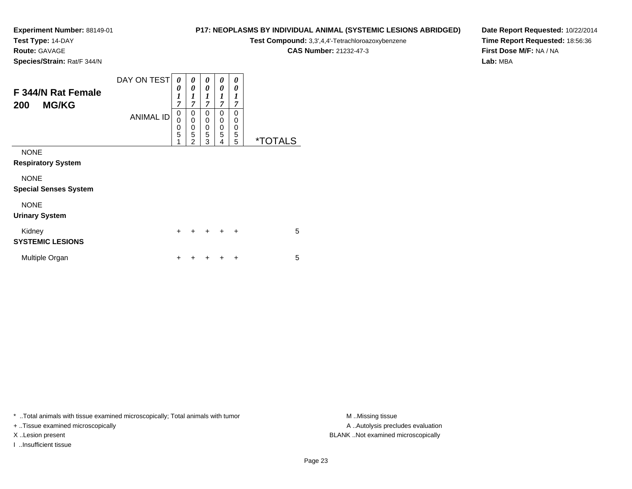**Test Type:** 14-DAY

**Route:** GAVAGE

**Species/Strain:** Rat/F 344/N

# **P17: NEOPLASMS BY INDIVIDUAL ANIMAL (SYSTEMIC LESIONS ABRIDGED)**

**Test Compound:** 3,3',4,4'-Tetrachloroazoxybenzene

**CAS Number:** 21232-47-3

**Date Report Requested:** 10/22/2014**Time Report Requested:** 18:56:36**First Dose M/F:** NA / NA**Lab:** MBA

| F 344/N Rat Female<br><b>MG/KG</b><br>200   | DAY ON TEST<br><b>ANIMAL ID</b> | 0<br>0<br>$\boldsymbol{l}$<br>7<br>0<br>$\mathbf 0$<br>$\mathbf 0$<br>$\overline{5}$ | 0<br>0<br>1<br>$\overline{7}$<br>0<br>$\mathbf 0$<br>$\mathbf 0$<br>$\overline{5}$ | 0<br>0<br>$\boldsymbol{l}$<br>$\overline{7}$<br>0<br>0<br>$\mathbf 0$<br>5 | 0<br>0<br>$\boldsymbol{l}$<br>$\overline{7}$<br>0<br>0<br>0<br>5 | 0<br>0<br>1<br>7<br>$\Omega$<br>0<br>0<br>5 |                       |
|---------------------------------------------|---------------------------------|--------------------------------------------------------------------------------------|------------------------------------------------------------------------------------|----------------------------------------------------------------------------|------------------------------------------------------------------|---------------------------------------------|-----------------------|
| <b>NONE</b><br><b>Respiratory System</b>    |                                 | 1                                                                                    | $\overline{2}$                                                                     | 3                                                                          | 4                                                                | 5                                           | <i><b>*TOTALS</b></i> |
| <b>NONE</b><br><b>Special Senses System</b> |                                 |                                                                                      |                                                                                    |                                                                            |                                                                  |                                             |                       |
| <b>NONE</b><br><b>Urinary System</b>        |                                 |                                                                                      |                                                                                    |                                                                            |                                                                  |                                             |                       |
| Kidney<br><b>SYSTEMIC LESIONS</b>           |                                 | $\ddot{}$                                                                            | +                                                                                  | $\ddot{}$                                                                  | $\ddot{}$                                                        | $\ddot{}$                                   | 5                     |
| Multiple Organ                              |                                 | ٠                                                                                    |                                                                                    |                                                                            | ٠                                                                | +                                           | 5                     |

\* ..Total animals with tissue examined microscopically; Total animals with tumor **M** . Missing tissue M ..Missing tissue

+ ..Tissue examined microscopically

I ..Insufficient tissue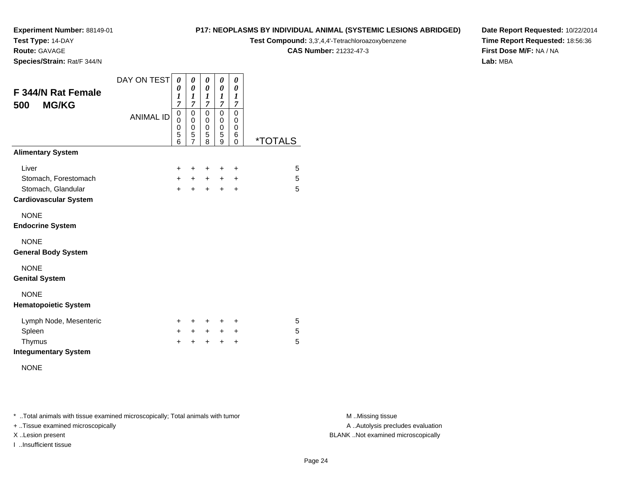**Test Type:** 14-DAY

**Route:** GAVAGE

**Species/Strain:** Rat/F 344/N

#### **P17: NEOPLASMS BY INDIVIDUAL ANIMAL (SYSTEMIC LESIONS ABRIDGED)**

**Test Compound:** 3,3',4,4'-Tetrachloroazoxybenzene

**CAS Number:** 21232-47-3

**Date Report Requested:** 10/22/2014**Time Report Requested:** 18:56:36**First Dose M/F:** NA / NA**Lab:** MBA

| <b>F 344/N Rat Female</b><br><b>MG/KG</b><br>500 | DAY ON TEST      | 0<br>0<br>1<br>7                | 0<br>0<br>1<br>7                                       | 0<br>0<br>1<br>7      | 0<br>0<br>$\boldsymbol{l}$<br>7                     | 0<br>0<br>$\boldsymbol{l}$<br>7                     |                       |
|--------------------------------------------------|------------------|---------------------------------|--------------------------------------------------------|-----------------------|-----------------------------------------------------|-----------------------------------------------------|-----------------------|
|                                                  | <b>ANIMAL ID</b> | 0<br>$\mathbf 0$<br>0<br>5<br>6 | 0<br>$\mathbf 0$<br>$\mathbf 0$<br>5<br>$\overline{7}$ | 0<br>0<br>0<br>5<br>8 | $\mathbf 0$<br>$\mathbf 0$<br>$\mathbf 0$<br>5<br>9 | $\mathbf 0$<br>$\mathbf 0$<br>$\mathbf 0$<br>6<br>0 | <i><b>*TOTALS</b></i> |
| <b>Alimentary System</b>                         |                  |                                 |                                                        |                       |                                                     |                                                     |                       |
| Liver                                            |                  | +                               | $\ddot{}$                                              | +                     | +                                                   | $\ddot{}$                                           | 5                     |
| Stomach, Forestomach                             |                  | $+$                             | $+$                                                    | $+$                   | $+$                                                 | $\ddot{}$                                           | 5                     |
| Stomach, Glandular                               |                  | $\ddot{}$                       | $\ddot{}$                                              | $\ddot{}$             | $+$                                                 | $\ddot{}$                                           | 5                     |
| <b>Cardiovascular System</b>                     |                  |                                 |                                                        |                       |                                                     |                                                     |                       |
| <b>NONE</b>                                      |                  |                                 |                                                        |                       |                                                     |                                                     |                       |
| <b>Endocrine System</b>                          |                  |                                 |                                                        |                       |                                                     |                                                     |                       |
| <b>NONE</b>                                      |                  |                                 |                                                        |                       |                                                     |                                                     |                       |
| <b>General Body System</b>                       |                  |                                 |                                                        |                       |                                                     |                                                     |                       |
| <b>NONE</b>                                      |                  |                                 |                                                        |                       |                                                     |                                                     |                       |
| <b>Genital System</b>                            |                  |                                 |                                                        |                       |                                                     |                                                     |                       |
| <b>NONE</b>                                      |                  |                                 |                                                        |                       |                                                     |                                                     |                       |
| <b>Hematopoietic System</b>                      |                  |                                 |                                                        |                       |                                                     |                                                     |                       |
| Lymph Node, Mesenteric                           |                  | +                               | +                                                      | +                     | +                                                   | ٠                                                   | 5                     |
| Spleen                                           |                  | $\pm$                           | $\pm$                                                  | $+$                   | $\ddot{}$                                           | +                                                   | 5                     |
| Thymus                                           |                  | $\ddot{}$                       | +                                                      | $\ddot{}$             | $\ddot{}$                                           | $\ddot{}$                                           | 5                     |
| <b>Integumentary System</b>                      |                  |                                 |                                                        |                       |                                                     |                                                     |                       |

NONE

\* ..Total animals with tissue examined microscopically; Total animals with tumor **M** . Missing tissue M ..Missing tissue

+ ..Tissue examined microscopically

I ..Insufficient tissue